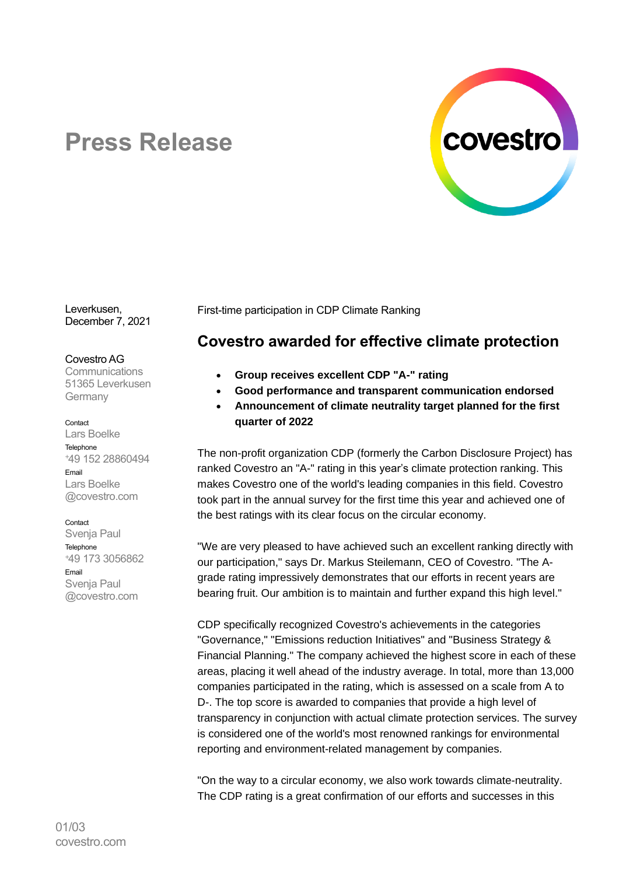

# **Press Release**

Leverkusen, December 7, 2021

## Covestro AG

**Communications** 51365 Leverkusen Germany

#### Contact

Lars Boelke Telephone <sup>+</sup>49 152 28860494 Email Lars Boelke @covestro.com

## Contact

Svenja Paul **Telephone** <sup>+</sup>49 173 3056862 Email Svenja Paul @covestro.com

First-time participation in CDP Climate Ranking

# **Covestro awarded for effective climate protection**

- **Group receives excellent CDP "A-" rating**
- **Good performance and transparent communication endorsed**
- **Announcement of climate neutrality target planned for the first quarter of 2022**

The non-profit organization CDP (formerly the Carbon Disclosure Project) has ranked Covestro an "A-" rating in this year's climate protection ranking. This makes Covestro one of the world's leading companies in this field. Covestro took part in the annual survey for the first time this year and achieved one of the best ratings with its clear focus on the circular economy.

"We are very pleased to have achieved such an excellent ranking directly with our participation," says Dr. Markus Steilemann, CEO of Covestro. "The Agrade rating impressively demonstrates that our efforts in recent years are bearing fruit. Our ambition is to maintain and further expand this high level."

CDP specifically recognized Covestro's achievements in the categories "Governance," "Emissions reduction Initiatives" and "Business Strategy & Financial Planning." The company achieved the highest score in each of these areas, placing it well ahead of the industry average. In total, more than 13,000 companies participated in the rating, which is assessed on a scale from A to D-. The top score is awarded to companies that provide a high level of transparency in conjunction with actual climate protection services. The survey is considered one of the world's most renowned rankings for environmental reporting and environment-related management by companies.

"On the way to a circular economy, we also work towards climate-neutrality. The CDP rating is a great confirmation of our efforts and successes in this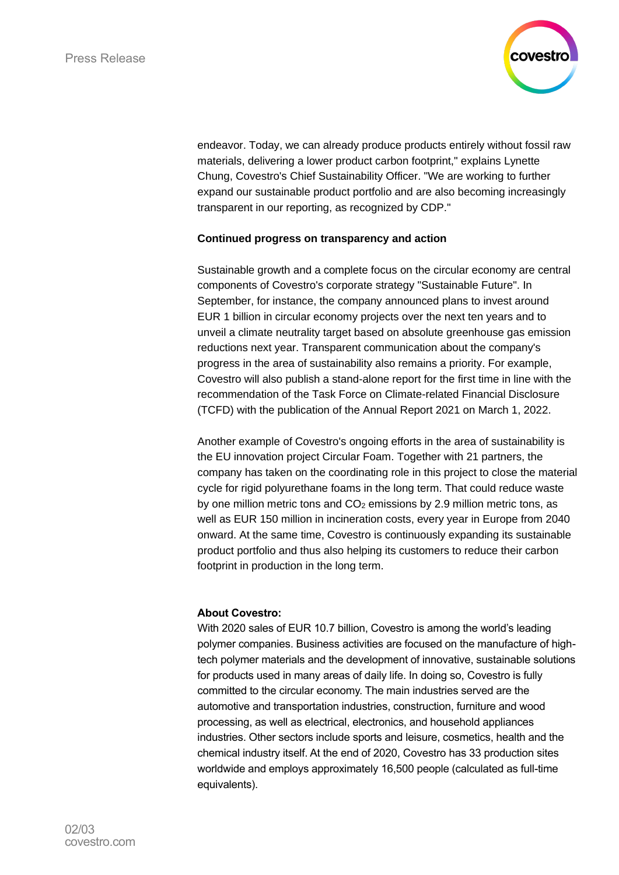

endeavor. Today, we can already produce products entirely without fossil raw materials, delivering a lower product carbon footprint," explains Lynette Chung, Covestro's Chief Sustainability Officer. "We are working to further expand our sustainable product portfolio and are also becoming increasingly transparent in our reporting, as recognized by CDP."

## **Continued progress on transparency and action**

Sustainable growth and a complete focus on the circular economy are central components of Covestro's corporate strategy "Sustainable Future". In September, for instance, the company announced plans to invest around EUR 1 billion in circular economy projects over the next ten years and to unveil a climate neutrality target based on absolute greenhouse gas emission reductions next year. Transparent communication about the company's progress in the area of sustainability also remains a priority. For example, Covestro will also publish a stand-alone report for the first time in line with the recommendation of the Task Force on Climate-related Financial Disclosure (TCFD) with the publication of the Annual Report 2021 on March 1, 2022.

Another example of Covestro's ongoing efforts in the area of sustainability is the EU innovation project Circular Foam. Together with 21 partners, the company has taken on the coordinating role in this project to close the material cycle for rigid polyurethane foams in the long term. That could reduce waste by one million metric tons and  $CO<sub>2</sub>$  emissions by 2.9 million metric tons, as well as EUR 150 million in incineration costs, every year in Europe from 2040 onward. At the same time, Covestro is continuously expanding its sustainable product portfolio and thus also helping its customers to reduce their carbon footprint in production in the long term.

## **About Covestro:**

With 2020 sales of EUR 10.7 billion, Covestro is among the world's leading polymer companies. Business activities are focused on the manufacture of hightech polymer materials and the development of innovative, sustainable solutions for products used in many areas of daily life. In doing so, Covestro is fully committed to the circular economy. The main industries served are the automotive and transportation industries, construction, furniture and wood processing, as well as electrical, electronics, and household appliances industries. Other sectors include sports and leisure, cosmetics, health and the chemical industry itself. At the end of 2020, Covestro has 33 production sites worldwide and employs approximately 16,500 people (calculated as full-time equivalents).